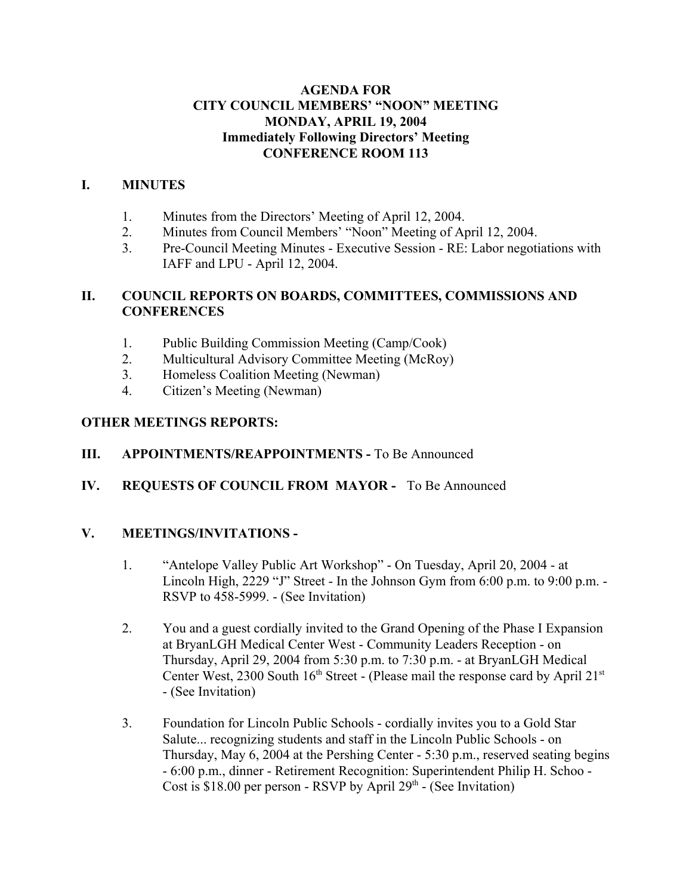## **AGENDA FOR CITY COUNCIL MEMBERS' "NOON" MEETING MONDAY, APRIL 19, 2004 Immediately Following Directors' Meeting CONFERENCE ROOM 113**

## **I. MINUTES**

- 1. Minutes from the Directors' Meeting of April 12, 2004.
- 2. Minutes from Council Members' "Noon" Meeting of April 12, 2004.
- 3. Pre-Council Meeting Minutes Executive Session RE: Labor negotiations with IAFF and LPU - April 12, 2004.

## **II. COUNCIL REPORTS ON BOARDS, COMMITTEES, COMMISSIONS AND CONFERENCES**

- 1. Public Building Commission Meeting (Camp/Cook)
- 2. Multicultural Advisory Committee Meeting (McRoy)
- 3. Homeless Coalition Meeting (Newman)
- 4. Citizen's Meeting (Newman)

## **OTHER MEETINGS REPORTS:**

## **III.** APPOINTMENTS/REAPPOINTMENTS - To Be Announced

**IV. REQUESTS OF COUNCIL FROM MAYOR -** To Be Announced

## **V. MEETINGS/INVITATIONS -**

- 1. "Antelope Valley Public Art Workshop" On Tuesday, April 20, 2004 at Lincoln High, 2229 "J" Street - In the Johnson Gym from 6:00 p.m. to 9:00 p.m. - RSVP to 458-5999. - (See Invitation)
- 2. You and a guest cordially invited to the Grand Opening of the Phase I Expansion at BryanLGH Medical Center West - Community Leaders Reception - on Thursday, April 29, 2004 from 5:30 p.m. to 7:30 p.m. - at BryanLGH Medical Center West, 2300 South  $16<sup>th</sup> Street -$  (Please mail the response card by April 21<sup>st</sup> - (See Invitation)
- 3. Foundation for Lincoln Public Schools cordially invites you to a Gold Star Salute... recognizing students and staff in the Lincoln Public Schools - on Thursday, May 6, 2004 at the Pershing Center - 5:30 p.m., reserved seating begins - 6:00 p.m., dinner - Retirement Recognition: Superintendent Philip H. Schoo - Cost is \$18.00 per person - RSVP by April  $29<sup>th</sup>$  - (See Invitation)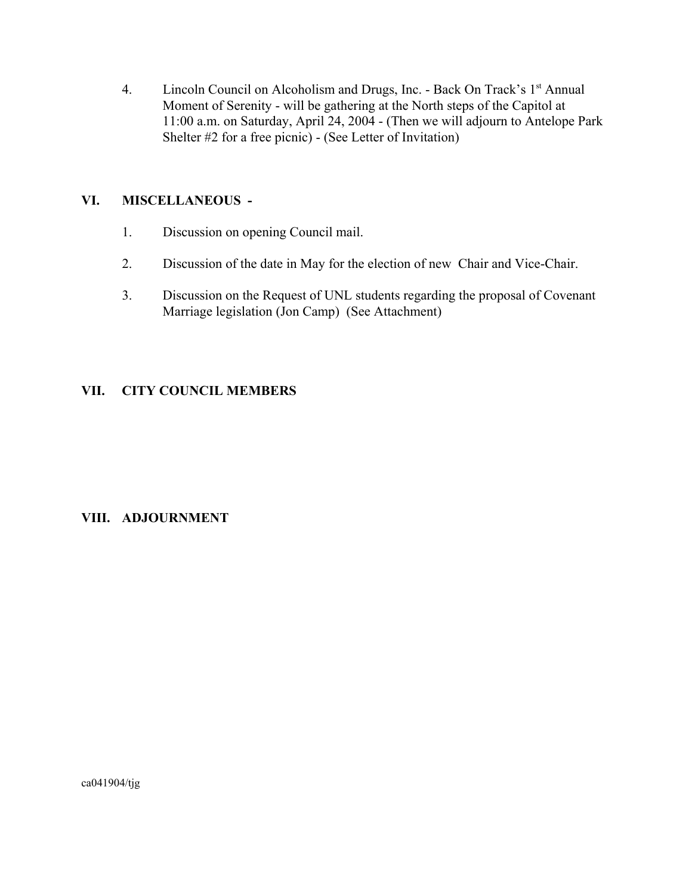4. Lincoln Council on Alcoholism and Drugs, Inc. - Back On Track's 1<sup>st</sup> Annual Moment of Serenity - will be gathering at the North steps of the Capitol at 11:00 a.m. on Saturday, April 24, 2004 - (Then we will adjourn to Antelope Park Shelter #2 for a free picnic) - (See Letter of Invitation)

## **VI. MISCELLANEOUS -**

- 1. Discussion on opening Council mail.
- 2. Discussion of the date in May for the election of new Chair and Vice-Chair.
- 3. Discussion on the Request of UNL students regarding the proposal of Covenant Marriage legislation (Jon Camp) (See Attachment)

## **VII. CITY COUNCIL MEMBERS**

## **VIII. ADJOURNMENT**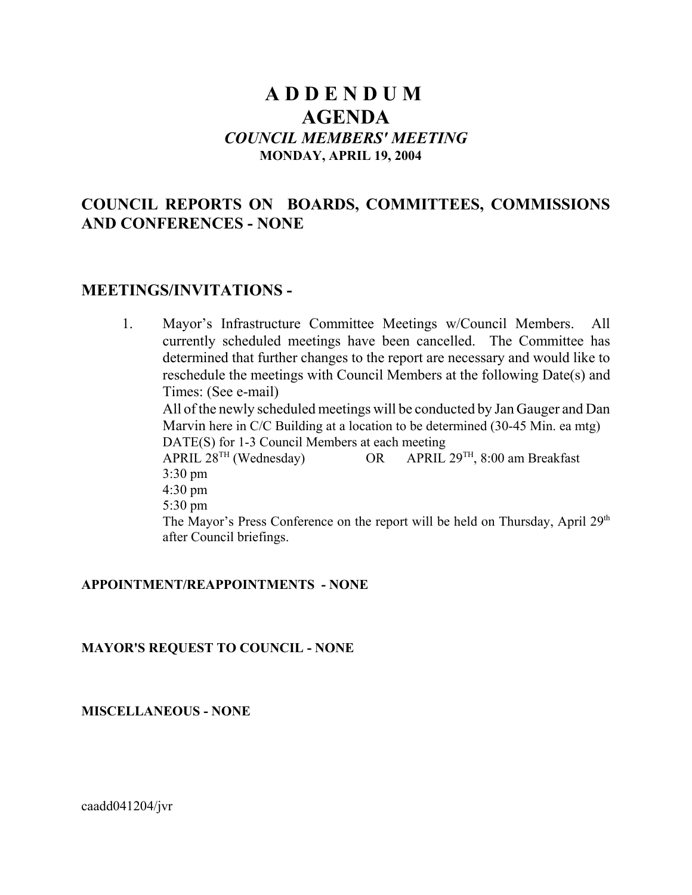# **A D D E N D U M AGENDA** *COUNCIL MEMBERS' MEETING* **MONDAY, APRIL 19, 2004**

## **COUNCIL REPORTS ON BOARDS, COMMITTEES, COMMISSIONS AND CONFERENCES - NONE**

## **MEETINGS/INVITATIONS -**

1. Mayor's Infrastructure Committee Meetings w/Council Members. All currently scheduled meetings have been cancelled. The Committee has determined that further changes to the report are necessary and would like to reschedule the meetings with Council Members at the following Date(s) and Times: (See e-mail) All of the newly scheduled meetings will be conducted by Jan Gauger and Dan Marvin here in C/C Building at a location to be determined (30-45 Min. ea mtg) DATE(S) for 1-3 Council Members at each meeting<br>APRIL  $28^{TH}$  (Wednesday) OR APRIL OR APRIL  $29^{TH}$ , 8:00 am Breakfast 3:30 pm 4:30 pm 5:30 pm The Mayor's Press Conference on the report will be held on Thursday, April  $29<sup>th</sup>$ after Council briefings.

#### **APPOINTMENT/REAPPOINTMENTS - NONE**

#### **MAYOR'S REQUEST TO COUNCIL - NONE**

**MISCELLANEOUS - NONE**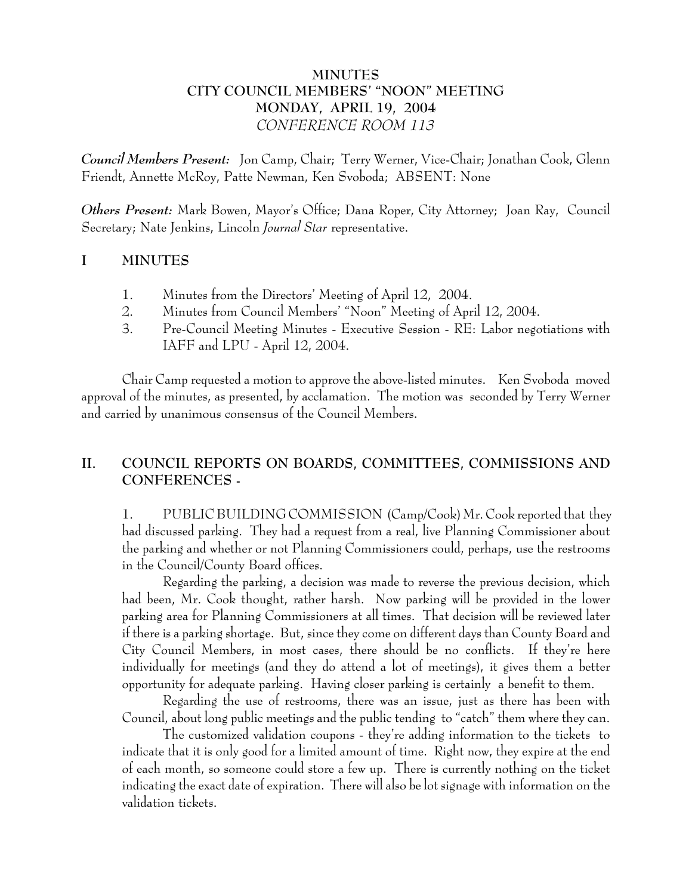## **MINUTES CITY COUNCIL MEMBERS' "NOON" MEETING MONDAY, APRIL 19, 2004** *CONFERENCE ROOM 113*

*Council Members Present:* Jon Camp, Chair; Terry Werner, Vice-Chair; Jonathan Cook, Glenn Friendt, Annette McRoy, Patte Newman, Ken Svoboda; ABSENT: None

*Others Present:* Mark Bowen, Mayor's Office; Dana Roper, City Attorney; Joan Ray, Council Secretary; Nate Jenkins, Lincoln *Journal Star* representative.

## **I MINUTES**

- 1. Minutes from the Directors' Meeting of April 12, 2004.
- 2. Minutes from Council Members' "Noon" Meeting of April 12, 2004.
- 3. Pre-Council Meeting Minutes Executive Session RE: Labor negotiations with IAFF and LPU - April 12, 2004.

Chair Camp requested a motion to approve the above-listed minutes. Ken Svoboda moved approval of the minutes, as presented, by acclamation. The motion was seconded by Terry Werner and carried by unanimous consensus of the Council Members.

## **II. COUNCIL REPORTS ON BOARDS, COMMITTEES, COMMISSIONS AND CONFERENCES -**

1. PUBLIC BUILDING COMMISSION (Camp/Cook) Mr. Cook reported that they had discussed parking. They had a request from a real, live Planning Commissioner about the parking and whether or not Planning Commissioners could, perhaps, use the restrooms in the Council/County Board offices.

Regarding the parking, a decision was made to reverse the previous decision, which had been, Mr. Cook thought, rather harsh. Now parking will be provided in the lower parking area for Planning Commissioners at all times. That decision will be reviewed later if there is a parking shortage. But, since they come on different days than County Board and City Council Members, in most cases, there should be no conflicts. If they're here individually for meetings (and they do attend a lot of meetings), it gives them a better opportunity for adequate parking. Having closer parking is certainly a benefit to them.

Regarding the use of restrooms, there was an issue, just as there has been with Council, about long public meetings and the public tending to "catch" them where they can.

The customized validation coupons - they're adding information to the tickets to indicate that it is only good for a limited amount of time. Right now, they expire at the end of each month, so someone could store a few up. There is currently nothing on the ticket indicating the exact date of expiration. There will also be lot signage with information on the validation tickets.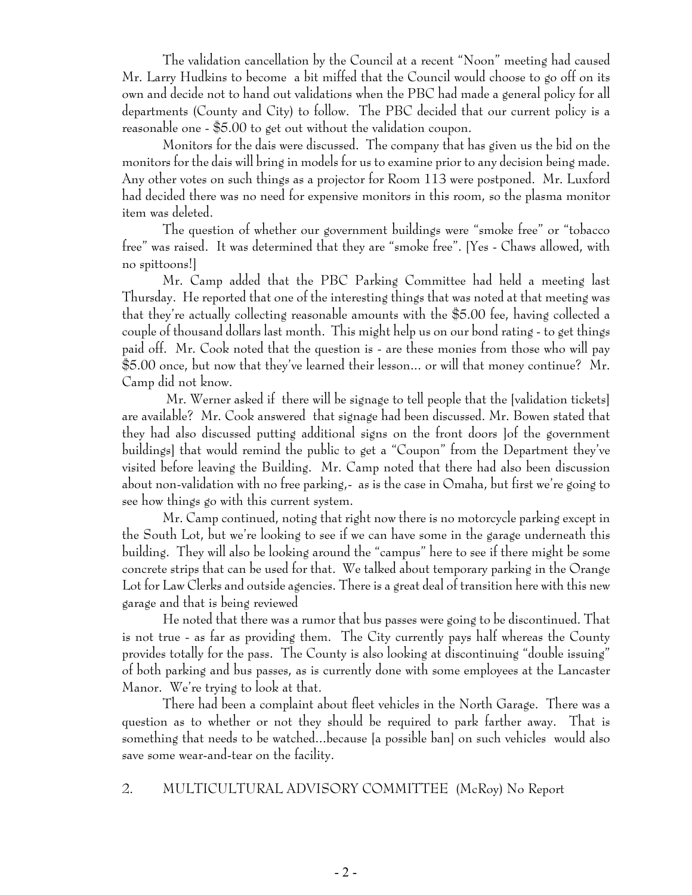The validation cancellation by the Council at a recent "Noon" meeting had caused Mr. Larry Hudkins to become a bit miffed that the Council would choose to go off on its own and decide not to hand out validations when the PBC had made a general policy for all departments (County and City) to follow. The PBC decided that our current policy is a reasonable one - \$5.00 to get out without the validation coupon.

Monitors for the dais were discussed. The company that has given us the bid on the monitors for the dais will bring in models for us to examine prior to any decision being made. Any other votes on such things as a projector for Room 113 were postponed. Mr. Luxford had decided there was no need for expensive monitors in this room, so the plasma monitor item was deleted.

The question of whether our government buildings were "smoke free" or "tobacco free" was raised. It was determined that they are "smoke free". [Yes - Chaws allowed, with no spittoons!]

Mr. Camp added that the PBC Parking Committee had held a meeting last Thursday. He reported that one of the interesting things that was noted at that meeting was that they're actually collecting reasonable amounts with the \$5.00 fee, having collected a couple of thousand dollars last month. This might help us on our bond rating - to get things paid off. Mr. Cook noted that the question is - are these monies from those who will pay \$5.00 once, but now that they've learned their lesson... or will that money continue? Mr. Camp did not know.

 Mr. Werner asked if there will be signage to tell people that the [validation tickets] are available? Mr. Cook answered that signage had been discussed. Mr. Bowen stated that they had also discussed putting additional signs on the front doors ]of the government buildings] that would remind the public to get a "Coupon" from the Department they've visited before leaving the Building. Mr. Camp noted that there had also been discussion about non-validation with no free parking,- as is the case in Omaha, but first we're going to see how things go with this current system.

Mr. Camp continued, noting that right now there is no motorcycle parking except in the South Lot, but we're looking to see if we can have some in the garage underneath this building. They will also be looking around the "campus" here to see if there might be some concrete strips that can be used for that. We talked about temporary parking in the Orange Lot for Law Clerks and outside agencies. There is a great deal of transition here with this new garage and that is being reviewed

He noted that there was a rumor that bus passes were going to be discontinued. That is not true - as far as providing them. The City currently pays half whereas the County provides totally for the pass. The County is also looking at discontinuing "double issuing" of both parking and bus passes, as is currently done with some employees at the Lancaster Manor. We're trying to look at that.

There had been a complaint about fleet vehicles in the North Garage. There was a question as to whether or not they should be required to park farther away. That is something that needs to be watched...because [a possible ban] on such vehicles would also save some wear-and-tear on the facility.

## 2. MULTICULTURAL ADVISORY COMMITTEE (McRoy) No Report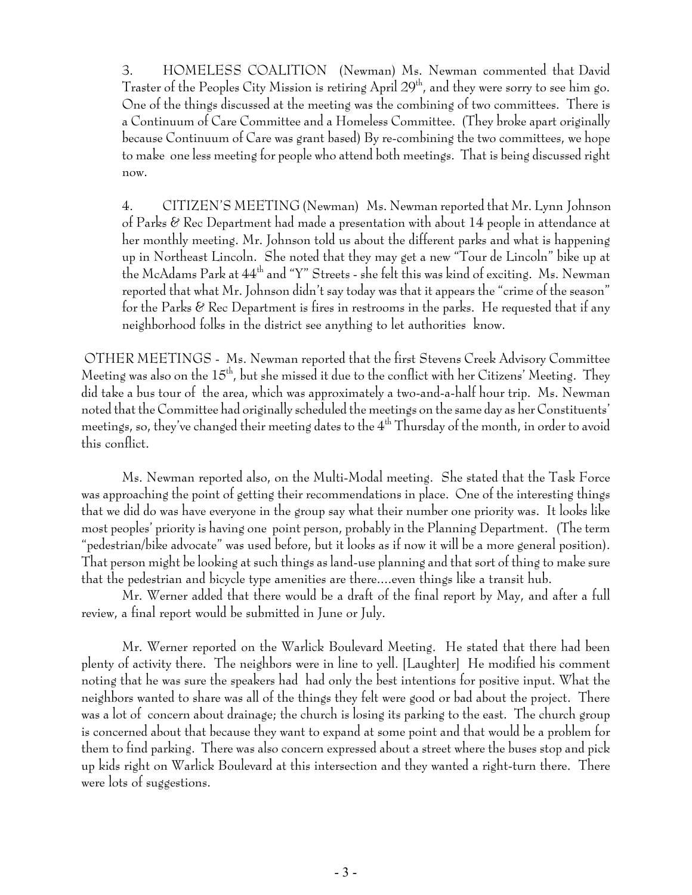3. HOMELESS COALITION (Newman) Ms. Newman commented that David Traster of the Peoples City Mission is retiring April  $29<sup>th</sup>$ , and they were sorry to see him go. One of the things discussed at the meeting was the combining of two committees. There is a Continuum of Care Committee and a Homeless Committee. (They broke apart originally because Continuum of Care was grant based) By re-combining the two committees, we hope to make one less meeting for people who attend both meetings. That is being discussed right now.

4. CITIZEN'S MEETING (Newman) Ms. Newman reported that Mr. Lynn Johnson of Parks & Rec Department had made a presentation with about 14 people in attendance at her monthly meeting. Mr. Johnson told us about the different parks and what is happening up in Northeast Lincoln. She noted that they may get a new "Tour de Lincoln" bike up at the McAdams Park at 44th and "Y" Streets - she felt this was kind of exciting. Ms. Newman reported that what Mr. Johnson didn't say today was that it appears the "crime of the season" for the Parks  $\mathscr C$  Rec Department is fires in restrooms in the parks. He requested that if any neighborhood folks in the district see anything to let authorities know.

 OTHER MEETINGS - Ms. Newman reported that the first Stevens Creek Advisory Committee Meeting was also on the  $15<sup>th</sup>$ , but she missed it due to the conflict with her Citizens' Meeting. They did take a bus tour of the area, which was approximately a two-and-a-half hour trip. Ms. Newman noted that the Committee had originally scheduled the meetings on the same day as her Constituents' meetings, so, they've changed their meeting dates to the 4<sup>th</sup> Thursday of the month, in order to avoid this conflict.

Ms. Newman reported also, on the Multi-Modal meeting. She stated that the Task Force was approaching the point of getting their recommendations in place. One of the interesting things that we did do was have everyone in the group say what their number one priority was. It looks like most peoples' priority is having one point person, probably in the Planning Department. (The term "pedestrian/bike advocate" was used before, but it looks as if now it will be a more general position). That person might be looking at such things as land-use planning and that sort of thing to make sure that the pedestrian and bicycle type amenities are there....even things like a transit hub.

Mr. Werner added that there would be a draft of the final report by May, and after a full review, a final report would be submitted in June or July.

Mr. Werner reported on the Warlick Boulevard Meeting. He stated that there had been plenty of activity there. The neighbors were in line to yell. [Laughter] He modified his comment noting that he was sure the speakers had had only the best intentions for positive input. What the neighbors wanted to share was all of the things they felt were good or bad about the project. There was a lot of concern about drainage; the church is losing its parking to the east. The church group is concerned about that because they want to expand at some point and that would be a problem for them to find parking. There was also concern expressed about a street where the buses stop and pick up kids right on Warlick Boulevard at this intersection and they wanted a right-turn there. There were lots of suggestions.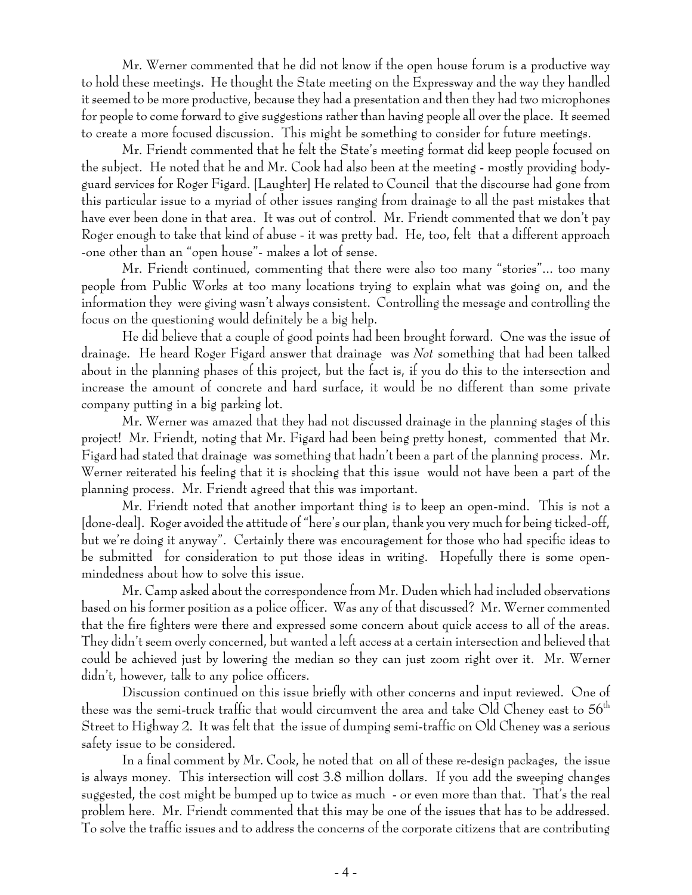Mr. Werner commented that he did not know if the open house forum is a productive way to hold these meetings. He thought the State meeting on the Expressway and the way they handled it seemed to be more productive, because they had a presentation and then they had two microphones for people to come forward to give suggestions rather than having people all over the place. It seemed to create a more focused discussion. This might be something to consider for future meetings.

Mr. Friendt commented that he felt the State's meeting format did keep people focused on the subject. He noted that he and Mr. Cook had also been at the meeting - mostly providing bodyguard services for Roger Figard. [Laughter] He related to Council that the discourse had gone from this particular issue to a myriad of other issues ranging from drainage to all the past mistakes that have ever been done in that area. It was out of control. Mr. Friendt commented that we don't pay Roger enough to take that kind of abuse - it was pretty bad. He, too, felt that a different approach -one other than an "open house"- makes a lot of sense.

Mr. Friendt continued, commenting that there were also too many "stories"... too many people from Public Works at too many locations trying to explain what was going on, and the information they were giving wasn't always consistent. Controlling the message and controlling the focus on the questioning would definitely be a big help.

He did believe that a couple of good points had been brought forward. One was the issue of drainage. He heard Roger Figard answer that drainage was *Not* something that had been talked about in the planning phases of this project, but the fact is, if you do this to the intersection and increase the amount of concrete and hard surface, it would be no different than some private company putting in a big parking lot.

Mr. Werner was amazed that they had not discussed drainage in the planning stages of this project! Mr. Friendt, noting that Mr. Figard had been being pretty honest, commented that Mr. Figard had stated that drainage was something that hadn't been a part of the planning process. Mr. Werner reiterated his feeling that it is shocking that this issue would not have been a part of the planning process. Mr. Friendt agreed that this was important.

Mr. Friendt noted that another important thing is to keep an open-mind. This is not a [done-deal]. Roger avoided the attitude of "here's our plan, thank you very much for being ticked-off, but we're doing it anyway". Certainly there was encouragement for those who had specific ideas to be submitted for consideration to put those ideas in writing. Hopefully there is some openmindedness about how to solve this issue.

Mr. Camp asked about the correspondence from Mr. Duden which had included observations based on his former position as a police officer. Was any of that discussed? Mr. Werner commented that the fire fighters were there and expressed some concern about quick access to all of the areas. They didn't seem overly concerned, but wanted a left access at a certain intersection and believed that could be achieved just by lowering the median so they can just zoom right over it. Mr. Werner didn't, however, talk to any police officers.

Discussion continued on this issue briefly with other concerns and input reviewed. One of these was the semi-truck traffic that would circumvent the area and take Old Cheney east to  $56<sup>th</sup>$ Street to Highway 2. It was felt that the issue of dumping semi-traffic on Old Cheney was a serious safety issue to be considered.

In a final comment by Mr. Cook, he noted that on all of these re-design packages, the issue is always money. This intersection will cost 3.8 million dollars. If you add the sweeping changes suggested, the cost might be bumped up to twice as much - or even more than that. That's the real problem here. Mr. Friendt commented that this may be one of the issues that has to be addressed. To solve the traffic issues and to address the concerns of the corporate citizens that are contributing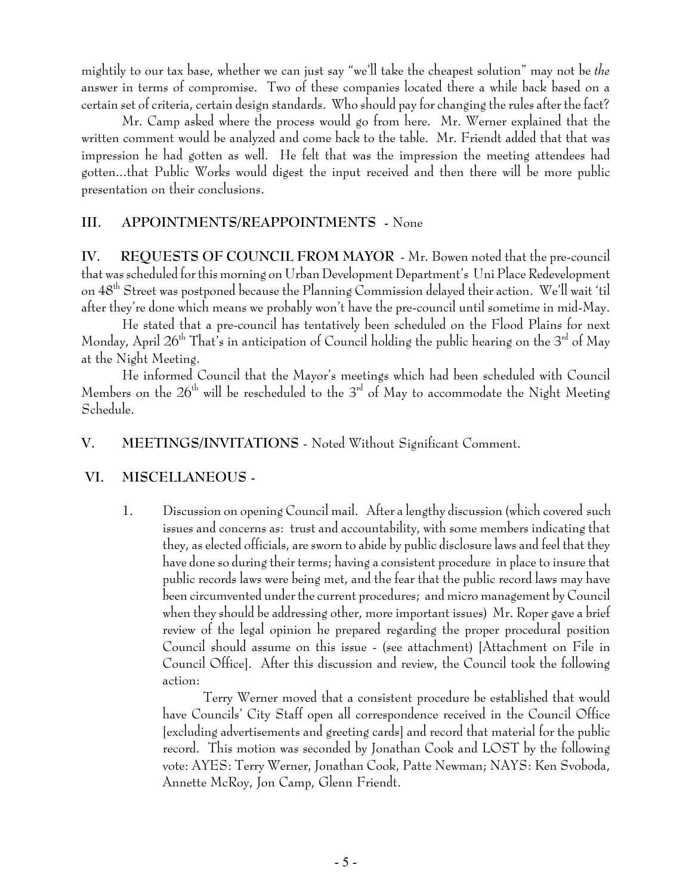mightily to our tax base, whether we can just say "we'll take the cheapest solution" may not be *the* answer in terms of compromise. Two of these companies located there a while back based on a certain set of criteria, certain design standards. Who should pay for changing the rules after the fact?

Mr. Camp asked where the process would go from here. Mr. Werner explained that the written comment would be analyzed and come back to the table. Mr. Friendt added that that was impression he had gotten as well. He felt that was the impression the meeting attendees had gotten...that Public Works would digest the input received and then there will be more public presentation on their conclusions.

#### **III. APPOINTMENTS/REAPPOINTMENTS -** None

**IV. REQUESTS OF COUNCIL FROM MAYOR** - Mr. Bowen noted that the pre-council that was scheduled for this morning on Urban Development Department's Uni Place Redevelopment on 48th Street was postponed because the Planning Commission delayed their action. We'll wait 'til after they're done which means we probably won't have the pre-council until sometime in mid-May.

He stated that a pre-council has tentatively been scheduled on the Flood Plains for next Monday, April  $26<sup>th</sup>$  That's in anticipation of Council holding the public hearing on the  $3<sup>rd</sup>$  of May at the Night Meeting.

He informed Council that the Mayor's meetings which had been scheduled with Council Members on the  $26<sup>th</sup>$  will be rescheduled to the  $3<sup>rd</sup>$  of May to accommodate the Night Meeting Schedule.

#### **V. MEETINGS/INVITATIONS** - Noted Without Significant Comment.

#### **VI. MISCELLANEOUS -**

1. Discussion on opening Council mail. After a lengthy discussion (which covered such issues and concerns as: trust and accountability, with some members indicating that they, as elected officials, are sworn to abide by public disclosure laws and feel that they have done so during their terms; having a consistent procedure in place to insure that public records laws were being met, and the fear that the public record laws may have been circumvented under the current procedures; and micro management by Council when they should be addressing other, more important issues) Mr. Roper gave a brief review of the legal opinion he prepared regarding the proper procedural position Council should assume on this issue - (see attachment) [Attachment on File in Council Office]. After this discussion and review, the Council took the following action:

Terry Werner moved that a consistent procedure be established that would have Councils' City Staff open all correspondence received in the Council Office [excluding advertisements and greeting cards] and record that material for the public record. This motion was seconded by Jonathan Cook and LOST by the following vote: AYES: Terry Werner, Jonathan Cook, Patte Newman; NAYS: Ken Svoboda, Annette McRoy, Jon Camp, Glenn Friendt.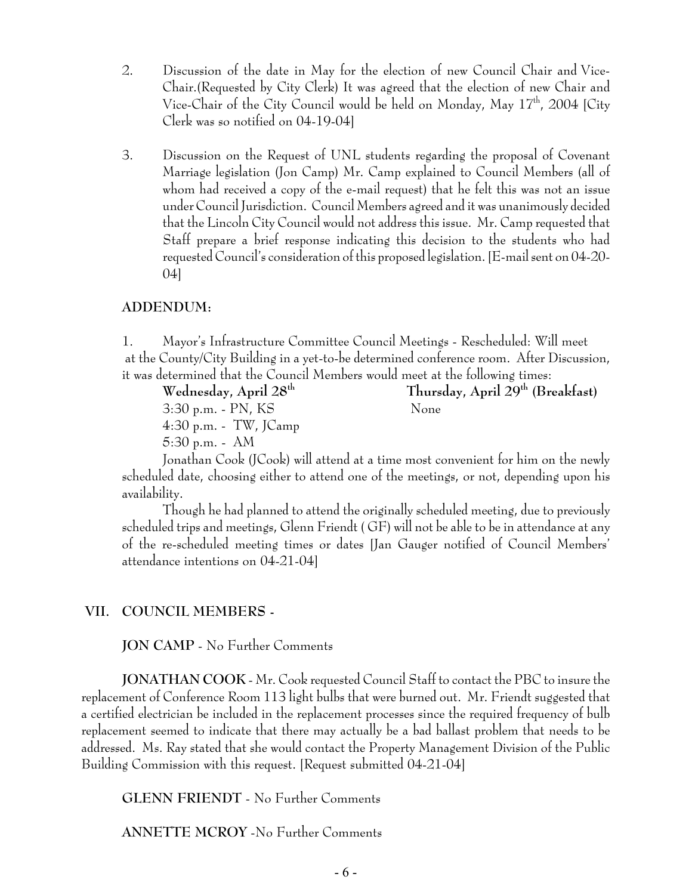- 2. Discussion of the date in May for the election of new Council Chair and Vice-Chair.(Requested by City Clerk) It was agreed that the election of new Chair and Vice-Chair of the City Council would be held on Monday, May 17<sup>th</sup>, 2004 [City Clerk was so notified on 04-19-04]
- 3. Discussion on the Request of UNL students regarding the proposal of Covenant Marriage legislation (Jon Camp) Mr. Camp explained to Council Members (all of whom had received a copy of the e-mail request) that he felt this was not an issue under Council Jurisdiction. Council Members agreed and it was unanimously decided that the Lincoln City Council would not address this issue. Mr. Camp requested that Staff prepare a brief response indicating this decision to the students who had requested Council's consideration of this proposed legislation. [E-mail sent on 04-20- 04]

#### **ADDENDUM:**

1. Mayor's Infrastructure Committee Council Meetings - Rescheduled: Will meet at the County/City Building in a yet-to-be determined conference room. After Discussion, it was determined that the Council Members would meet at the following times:

**Wednesday, April 28th Thursday, April 29th (Breakfast)** 3:30 p.m. - PN, KS None 4:30 p.m. - TW, JCamp 5:30 p.m. - AM

Jonathan Cook (JCook) will attend at a time most convenient for him on the newly scheduled date, choosing either to attend one of the meetings, or not, depending upon his availability.

Though he had planned to attend the originally scheduled meeting, due to previously scheduled trips and meetings, Glenn Friendt ( GF) will not be able to be in attendance at any of the re-scheduled meeting times or dates [Jan Gauger notified of Council Members' attendance intentions on 04-21-04]

#### **VII. COUNCIL MEMBERS -**

**JON CAMP** - No Further Comments

**JONATHAN COOK** - Mr. Cook requested Council Staff to contact the PBC to insure the replacement of Conference Room 113 light bulbs that were burned out. Mr. Friendt suggested that a certified electrician be included in the replacement processes since the required frequency of bulb replacement seemed to indicate that there may actually be a bad ballast problem that needs to be addressed. Ms. Ray stated that she would contact the Property Management Division of the Public Building Commission with this request. [Request submitted 04-21-04]

**GLENN FRIENDT** - No Further Comments

**ANNETTE MCROY** -No Further Comments